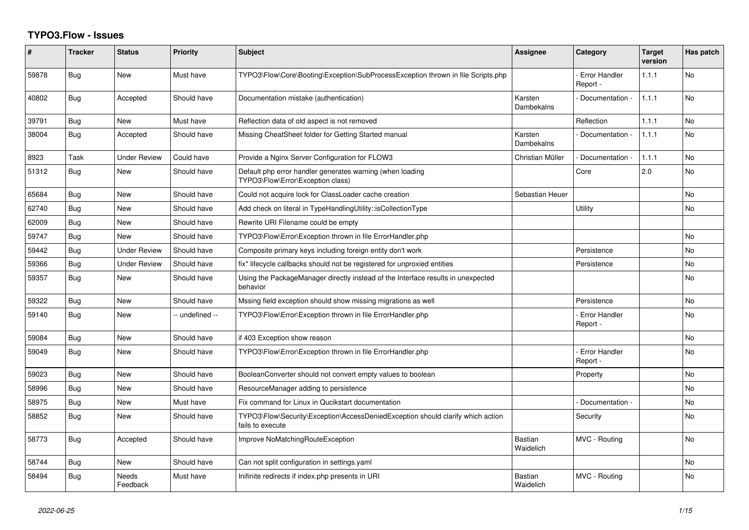## **TYPO3.Flow - Issues**

| ∦     | <b>Tracker</b> | <b>Status</b>       | <b>Priority</b> | <b>Subject</b>                                                                                      | <b>Assignee</b>             | Category                         | Target<br>version | Has patch      |
|-------|----------------|---------------------|-----------------|-----------------------------------------------------------------------------------------------------|-----------------------------|----------------------------------|-------------------|----------------|
| 59878 | Bug            | <b>New</b>          | Must have       | TYPO3\Flow\Core\Booting\Exception\SubProcessException thrown in file Scripts.php                    |                             | <b>Error Handler</b><br>Report - | 1.1.1             | <b>No</b>      |
| 40802 | <b>Bug</b>     | Accepted            | Should have     | Documentation mistake (authentication)                                                              | Karsten<br>Dambekalns       | Documentation -                  | 1.1.1             | <b>No</b>      |
| 39791 | Bug            | New                 | Must have       | Reflection data of old aspect is not removed                                                        |                             | Reflection                       | 1.1.1             | <b>No</b>      |
| 38004 | Bug            | Accepted            | Should have     | Missing CheatSheet folder for Getting Started manual                                                | Karsten<br>Dambekalns       | Documentation -                  | 1.1.1             | No.            |
| 8923  | Task           | <b>Under Review</b> | Could have      | Provide a Nginx Server Configuration for FLOW3                                                      | Christian Müller            | Documentation -                  | 1.1.1             | <b>No</b>      |
| 51312 | Bug            | <b>New</b>          | Should have     | Default php error handler generates warning (when loading<br>TYPO3\Flow\Error\Exception class)      |                             | Core                             | 2.0               | No.            |
| 65684 | Bug            | <b>New</b>          | Should have     | Could not acquire lock for ClassLoader cache creation                                               | Sebastian Heuer             |                                  |                   | N <sub>o</sub> |
| 62740 | Bug            | <b>New</b>          | Should have     | Add check on literal in TypeHandlingUtility::isCollectionType                                       |                             | Utility                          |                   | No.            |
| 62009 | Bug            | <b>New</b>          | Should have     | Rewrite URI Filename could be empty                                                                 |                             |                                  |                   |                |
| 59747 | Bug            | <b>New</b>          | Should have     | TYPO3\Flow\Error\Exception thrown in file ErrorHandler.php                                          |                             |                                  |                   | N <sub>o</sub> |
| 59442 | Bug            | <b>Under Review</b> | Should have     | Composite primary keys including foreign entity don't work                                          |                             | Persistence                      |                   | No             |
| 59366 | Bug            | <b>Under Review</b> | Should have     | fix* lifecycle callbacks should not be registered for unproxied entities                            |                             | Persistence                      |                   | <b>No</b>      |
| 59357 | Bug            | <b>New</b>          | Should have     | Using the PackageManager directly instead of the Interface results in unexpected<br>behavior        |                             |                                  |                   | No.            |
| 59322 | Bug            | <b>New</b>          | Should have     | Mssing field exception should show missing migrations as well                                       |                             | Persistence                      |                   | No.            |
| 59140 | Bug            | <b>New</b>          | -- undefined -- | TYPO3\Flow\Error\Exception thrown in file ErrorHandler.php                                          |                             | <b>Error Handler</b><br>Report - |                   | N <sub>o</sub> |
| 59084 | Bug            | <b>New</b>          | Should have     | if 403 Exception show reason                                                                        |                             |                                  |                   | No.            |
| 59049 | Bug            | <b>New</b>          | Should have     | TYPO3\Flow\Error\Exception thrown in file ErrorHandler.php                                          |                             | <b>Error Handler</b><br>Report - |                   | No.            |
| 59023 | Bug            | <b>New</b>          | Should have     | BooleanConverter should not convert empty values to boolean                                         |                             | Property                         |                   | No.            |
| 58996 | Bug            | <b>New</b>          | Should have     | ResourceManager adding to persistence                                                               |                             |                                  |                   | No             |
| 58975 | Bug            | New                 | Must have       | Fix command for Linux in Qucikstart documentation                                                   |                             | Documentation -                  |                   | N <sub>o</sub> |
| 58852 | Bug            | <b>New</b>          | Should have     | TYPO3\Flow\Security\Exception\AccessDeniedException should clarify which action<br>fails to execute |                             | Security                         |                   | N <sub>o</sub> |
| 58773 | Bug            | Accepted            | Should have     | Improve NoMatchingRouteException                                                                    | <b>Bastian</b><br>Waidelich | MVC - Routing                    |                   | No.            |
| 58744 | Bug            | <b>New</b>          | Should have     | Can not split configuration in settings.yaml                                                        |                             |                                  |                   | N <sub>o</sub> |
| 58494 | Bug            | Needs<br>Feedback   | Must have       | Inifinite redirects if index.php presents in URI                                                    | <b>Bastian</b><br>Waidelich | MVC - Routing                    |                   | No             |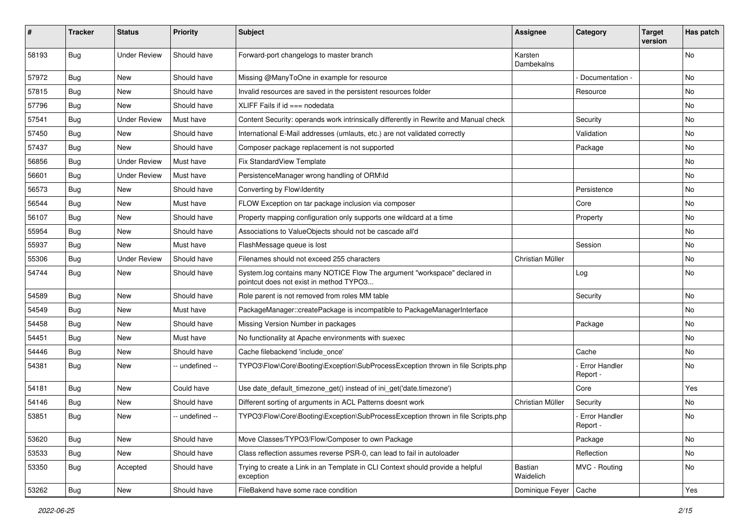| #     | <b>Tracker</b> | <b>Status</b>       | <b>Priority</b> | <b>Subject</b>                                                                                                       | Assignee              | Category                    | <b>Target</b><br>version | Has patch |
|-------|----------------|---------------------|-----------------|----------------------------------------------------------------------------------------------------------------------|-----------------------|-----------------------------|--------------------------|-----------|
| 58193 | <b>Bug</b>     | <b>Under Review</b> | Should have     | Forward-port changelogs to master branch                                                                             | Karsten<br>Dambekalns |                             |                          | No        |
| 57972 | Bug            | New                 | Should have     | Missing @ManyToOne in example for resource                                                                           |                       | Documentation -             |                          | <b>No</b> |
| 57815 | Bug            | <b>New</b>          | Should have     | Invalid resources are saved in the persistent resources folder                                                       |                       | Resource                    |                          | <b>No</b> |
| 57796 | <b>Bug</b>     | New                 | Should have     | XLIFF Fails if $id ==$ nodedata                                                                                      |                       |                             |                          | No        |
| 57541 | <b>Bug</b>     | <b>Under Review</b> | Must have       | Content Security: operands work intrinsically differently in Rewrite and Manual check                                |                       | Security                    |                          | <b>No</b> |
| 57450 | <b>Bug</b>     | New                 | Should have     | International E-Mail addresses (umlauts, etc.) are not validated correctly                                           |                       | Validation                  |                          | No        |
| 57437 | Bug            | New                 | Should have     | Composer package replacement is not supported                                                                        |                       | Package                     |                          | <b>No</b> |
| 56856 | Bug            | <b>Under Review</b> | Must have       | Fix StandardView Template                                                                                            |                       |                             |                          | No        |
| 56601 | <b>Bug</b>     | <b>Under Review</b> | Must have       | PersistenceManager wrong handling of ORM\ld                                                                          |                       |                             |                          | No        |
| 56573 | <b>Bug</b>     | New                 | Should have     | Converting by Flow\Identity                                                                                          |                       | Persistence                 |                          | <b>No</b> |
| 56544 | Bug            | New                 | Must have       | FLOW Exception on tar package inclusion via composer                                                                 |                       | Core                        |                          | No        |
| 56107 | Bug            | New                 | Should have     | Property mapping configuration only supports one wildcard at a time                                                  |                       | Property                    |                          | No        |
| 55954 | <b>Bug</b>     | New                 | Should have     | Associations to ValueObjects should not be cascade all'd                                                             |                       |                             |                          | No        |
| 55937 | <b>Bug</b>     | New                 | Must have       | FlashMessage queue is lost                                                                                           |                       | Session                     |                          | No        |
| 55306 | Bug            | <b>Under Review</b> | Should have     | Filenames should not exceed 255 characters                                                                           | Christian Müller      |                             |                          | No        |
| 54744 | <b>Bug</b>     | New                 | Should have     | System.log contains many NOTICE Flow The argument "workspace" declared in<br>pointcut does not exist in method TYPO3 |                       | Log                         |                          | No        |
| 54589 | <b>Bug</b>     | New                 | Should have     | Role parent is not removed from roles MM table                                                                       |                       | Security                    |                          | <b>No</b> |
| 54549 | Bug            | New                 | Must have       | PackageManager::createPackage is incompatible to PackageManagerInterface                                             |                       |                             |                          | No        |
| 54458 | Bug            | New                 | Should have     | Missing Version Number in packages                                                                                   |                       | Package                     |                          | No        |
| 54451 | Bug            | New                 | Must have       | No functionality at Apache environments with suexec                                                                  |                       |                             |                          | No        |
| 54446 | Bug            | New                 | Should have     | Cache filebackend 'include once'                                                                                     |                       | Cache                       |                          | No        |
| 54381 | Bug            | New                 | -- undefined -- | TYPO3\Flow\Core\Booting\Exception\SubProcessException thrown in file Scripts.php                                     |                       | Error Handler<br>Report -   |                          | No        |
| 54181 | <b>Bug</b>     | New                 | Could have      | Use date_default_timezone_get() instead of ini_get('date.timezone')                                                  |                       | Core                        |                          | Yes       |
| 54146 | <b>Bug</b>     | New                 | Should have     | Different sorting of arguments in ACL Patterns doesnt work                                                           | Christian Müller      | Security                    |                          | No        |
| 53851 | Bug            | New                 | -- undefined -- | TYPO3\Flow\Core\Booting\Exception\SubProcessException thrown in file Scripts.php                                     |                       | - Error Handler<br>Heport - |                          | No        |
| 53620 | Bug            | New                 | Should have     | Move Classes/TYPO3/Flow/Composer to own Package                                                                      |                       | Package                     |                          | No        |
| 53533 | Bug            | New                 | Should have     | Class reflection assumes reverse PSR-0, can lead to fail in autoloader                                               |                       | Reflection                  |                          | No        |
| 53350 | <b>Bug</b>     | Accepted            | Should have     | Trying to create a Link in an Template in CLI Context should provide a helpful<br>exception                          | Bastian<br>Waidelich  | MVC - Routing               |                          | No        |
| 53262 | <b>Bug</b>     | New                 | Should have     | FileBakend have some race condition                                                                                  | Dominique Feyer       | Cache                       |                          | Yes       |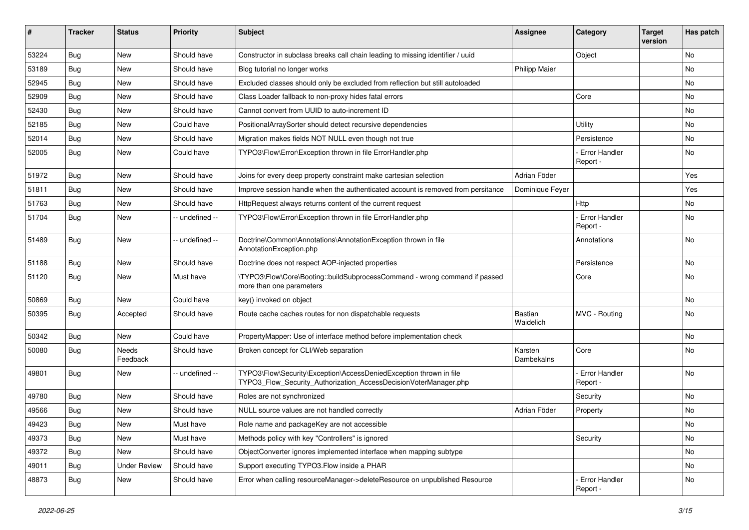| #     | <b>Tracker</b> | <b>Status</b>       | <b>Priority</b> | <b>Subject</b>                                                                                                                         | <b>Assignee</b>       | Category                    | <b>Target</b><br>version | Has patch |
|-------|----------------|---------------------|-----------------|----------------------------------------------------------------------------------------------------------------------------------------|-----------------------|-----------------------------|--------------------------|-----------|
| 53224 | Bug            | New                 | Should have     | Constructor in subclass breaks call chain leading to missing identifier / uuid                                                         |                       | Object                      |                          | <b>No</b> |
| 53189 | <b>Bug</b>     | New                 | Should have     | Blog tutorial no longer works                                                                                                          | <b>Philipp Maier</b>  |                             |                          | No        |
| 52945 | <b>Bug</b>     | New                 | Should have     | Excluded classes should only be excluded from reflection but still autoloaded                                                          |                       |                             |                          | No        |
| 52909 | Bug            | New                 | Should have     | Class Loader fallback to non-proxy hides fatal errors                                                                                  |                       | Core                        |                          | No        |
| 52430 | <b>Bug</b>     | New                 | Should have     | Cannot convert from UUID to auto-increment ID                                                                                          |                       |                             |                          | No        |
| 52185 | <b>Bug</b>     | New                 | Could have      | PositionalArraySorter should detect recursive dependencies                                                                             |                       | Utility                     |                          | <b>No</b> |
| 52014 | <b>Bug</b>     | New                 | Should have     | Migration makes fields NOT NULL even though not true                                                                                   |                       | Persistence                 |                          | No        |
| 52005 | <b>Bug</b>     | New                 | Could have      | TYPO3\Flow\Error\Exception thrown in file ErrorHandler.php                                                                             |                       | Error Handler<br>Report -   |                          | No        |
| 51972 | <b>Bug</b>     | New                 | Should have     | Joins for every deep property constraint make cartesian selection                                                                      | Adrian Föder          |                             |                          | Yes       |
| 51811 | <b>Bug</b>     | New                 | Should have     | Improve session handle when the authenticated account is removed from persitance                                                       | Dominique Feyer       |                             |                          | Yes       |
| 51763 | <b>Bug</b>     | New                 | Should have     | HttpRequest always returns content of the current request                                                                              |                       | Http                        |                          | No        |
| 51704 | <b>Bug</b>     | New                 | -- undefined -- | TYPO3\Flow\Error\Exception thrown in file ErrorHandler.php                                                                             |                       | Error Handler<br>Report -   |                          | No        |
| 51489 | <b>Bug</b>     | New                 | -- undefined -- | Doctrine\Common\Annotations\AnnotationException thrown in file<br>AnnotationException.php                                              |                       | Annotations                 |                          | No        |
| 51188 | Bug            | <b>New</b>          | Should have     | Doctrine does not respect AOP-injected properties                                                                                      |                       | Persistence                 |                          | No        |
| 51120 | <b>Bug</b>     | New                 | Must have       | \TYPO3\Flow\Core\Booting::buildSubprocessCommand - wrong command if passed<br>more than one parameters                                 |                       | Core                        |                          | <b>No</b> |
| 50869 | Bug            | New                 | Could have      | key() invoked on object                                                                                                                |                       |                             |                          | <b>No</b> |
| 50395 | <b>Bug</b>     | Accepted            | Should have     | Route cache caches routes for non dispatchable requests                                                                                | Bastian<br>Waidelich  | MVC - Routing               |                          | No        |
| 50342 | <b>Bug</b>     | New                 | Could have      | PropertyMapper: Use of interface method before implementation check                                                                    |                       |                             |                          | No        |
| 50080 | <b>Bug</b>     | Needs<br>Feedback   | Should have     | Broken concept for CLI/Web separation                                                                                                  | Karsten<br>Dambekalns | Core                        |                          | No        |
| 49801 | <b>Bug</b>     | New                 | -- undefined -- | TYPO3\Flow\Security\Exception\AccessDeniedException thrown in file<br>TYPO3_Flow_Security_Authorization_AccessDecisionVoterManager.php |                       | Error Handler<br>Report -   |                          | <b>No</b> |
| 49780 | Bug            | New                 | Should have     | Roles are not synchronized                                                                                                             |                       | Security                    |                          | No        |
| 49566 | <b>Bug</b>     | New                 | Should have     | NULL source values are not handled correctly                                                                                           | Adrian Föder          | Property                    |                          | No        |
| 49423 | Bug            | New                 | Must have       | Role name and packageKey are not accessible                                                                                            |                       |                             |                          | No        |
| 49373 | <b>Bug</b>     | New                 | Must have       | Methods policy with key "Controllers" is ignored                                                                                       |                       | Security                    |                          | No        |
| 49372 | Bug            | New                 | Should have     | ObjectConverter ignores implemented interface when mapping subtype                                                                     |                       |                             |                          | No        |
| 49011 | <b>Bug</b>     | <b>Under Review</b> | Should have     | Support executing TYPO3.Flow inside a PHAR                                                                                             |                       |                             |                          | No        |
| 48873 | Bug            | New                 | Should have     | Error when calling resourceManager->deleteResource on unpublished Resource                                                             |                       | - Error Handler<br>Report - |                          | No        |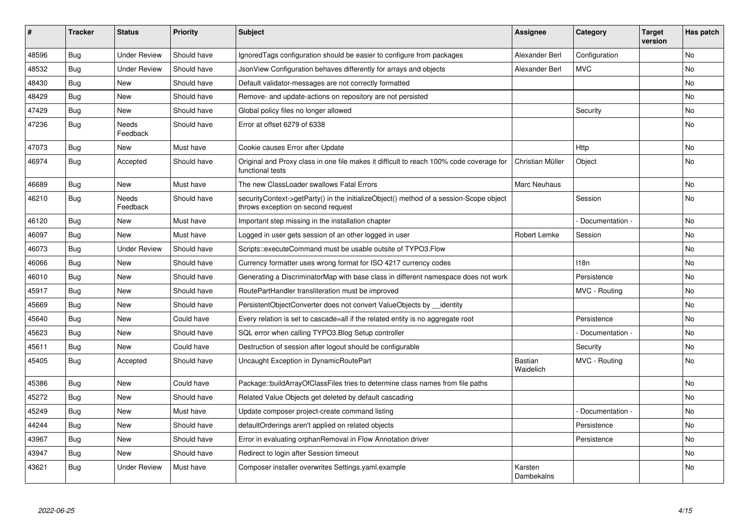| #     | <b>Tracker</b> | <b>Status</b>       | <b>Priority</b> | <b>Subject</b>                                                                                                               | Assignee              | Category        | <b>Target</b><br>version | Has patch |
|-------|----------------|---------------------|-----------------|------------------------------------------------------------------------------------------------------------------------------|-----------------------|-----------------|--------------------------|-----------|
| 48596 | Bug            | <b>Under Review</b> | Should have     | Ignored Tags configuration should be easier to configure from packages                                                       | Alexander Berl        | Configuration   |                          | <b>No</b> |
| 48532 | Bug            | <b>Under Review</b> | Should have     | JsonView Configuration behaves differently for arrays and objects                                                            | Alexander Berl        | <b>MVC</b>      |                          | <b>No</b> |
| 48430 | Bug            | <b>New</b>          | Should have     | Default validator-messages are not correctly formatted                                                                       |                       |                 |                          | No        |
| 48429 | Bug            | <b>New</b>          | Should have     | Remove- and update-actions on repository are not persisted                                                                   |                       |                 |                          | No.       |
| 47429 | Bug            | New                 | Should have     | Global policy files no longer allowed                                                                                        |                       | Security        |                          | No        |
| 47236 | Bug            | Needs<br>Feedback   | Should have     | Error at offset 6279 of 6338                                                                                                 |                       |                 |                          | No        |
| 47073 | Bug            | <b>New</b>          | Must have       | Cookie causes Error after Update                                                                                             |                       | Http            |                          | No        |
| 46974 | Bug            | Accepted            | Should have     | Original and Proxy class in one file makes it difficult to reach 100% code coverage for<br>functional tests                  | Christian Müller      | Object          |                          | No        |
| 46689 | Bug            | New                 | Must have       | The new ClassLoader swallows Fatal Errors                                                                                    | Marc Neuhaus          |                 |                          | No        |
| 46210 | Bug            | Needs<br>Feedback   | Should have     | securityContext->getParty() in the initializeObject() method of a session-Scope object<br>throws exception on second request |                       | Session         |                          | No        |
| 46120 | Bug            | <b>New</b>          | Must have       | Important step missing in the installation chapter                                                                           |                       | Documentation - |                          | No        |
| 46097 | Bug            | <b>New</b>          | Must have       | Logged in user gets session of an other logged in user                                                                       | Robert Lemke          | Session         |                          | No        |
| 46073 | Bug            | <b>Under Review</b> | Should have     | Scripts::executeCommand must be usable outsite of TYPO3.Flow                                                                 |                       |                 |                          | No        |
| 46066 | Bug            | <b>New</b>          | Should have     | Currency formatter uses wrong format for ISO 4217 currency codes                                                             |                       | 118n            |                          | No.       |
| 46010 | Bug            | New                 | Should have     | Generating a DiscriminatorMap with base class in different namespace does not work                                           |                       | Persistence     |                          | No        |
| 45917 | <b>Bug</b>     | <b>New</b>          | Should have     | RoutePartHandler transliteration must be improved                                                                            |                       | MVC - Routing   |                          | No.       |
| 45669 | <b>Bug</b>     | <b>New</b>          | Should have     | PersistentObjectConverter does not convert ValueObjects by identity                                                          |                       |                 |                          | No        |
| 45640 | Bug            | New                 | Could have      | Every relation is set to cascade=all if the related entity is no aggregate root                                              |                       | Persistence     |                          | No        |
| 45623 | Bug            | <b>New</b>          | Should have     | SQL error when calling TYPO3.Blog Setup controller                                                                           |                       | Documentation - |                          | No.       |
| 45611 | <b>Bug</b>     | New                 | Could have      | Destruction of session after logout should be configurable                                                                   |                       | Security        |                          | No        |
| 45405 | Bug            | Accepted            | Should have     | Uncaught Exception in DynamicRoutePart                                                                                       | Bastian<br>Waidelich  | MVC - Routing   |                          | <b>No</b> |
| 45386 | Bug            | <b>New</b>          | Could have      | Package::buildArrayOfClassFiles tries to determine class names from file paths                                               |                       |                 |                          | <b>No</b> |
| 45272 | Bug            | <b>New</b>          | Should have     | Related Value Objects get deleted by default cascading                                                                       |                       |                 |                          | No.       |
| 45249 | Bug            | <b>New</b>          | Must have       | Update composer project-create command listing                                                                               |                       | Documentation - |                          | No        |
| 44244 | Bug            | New                 | Should have     | defaultOrderings aren't applied on related objects                                                                           |                       | Persistence     |                          | No        |
| 43967 | Bug            | New                 | Should have     | Error in evaluating orphanRemoval in Flow Annotation driver                                                                  |                       | Persistence     |                          | No        |
| 43947 | Bug            | <b>New</b>          | Should have     | Redirect to login after Session timeout                                                                                      |                       |                 |                          | No        |
| 43621 | Bug            | <b>Under Review</b> | Must have       | Composer installer overwrites Settings.yaml.example                                                                          | Karsten<br>Dambekalns |                 |                          | <b>No</b> |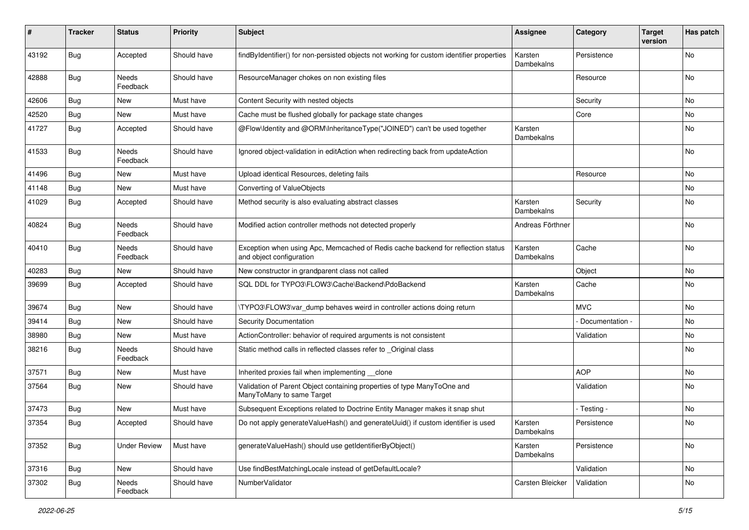| #     | <b>Tracker</b> | <b>Status</b>            | <b>Priority</b> | <b>Subject</b>                                                                                               | <b>Assignee</b>       | Category        | <b>Target</b><br>version | Has patch |
|-------|----------------|--------------------------|-----------------|--------------------------------------------------------------------------------------------------------------|-----------------------|-----------------|--------------------------|-----------|
| 43192 | <b>Bug</b>     | Accepted                 | Should have     | findByIdentifier() for non-persisted objects not working for custom identifier properties                    | Karsten<br>Dambekalns | Persistence     |                          | No        |
| 42888 | Bug            | <b>Needs</b><br>Feedback | Should have     | ResourceManager chokes on non existing files                                                                 |                       | Resource        |                          | No.       |
| 42606 | Bug            | New                      | Must have       | Content Security with nested objects                                                                         |                       | Security        |                          | No        |
| 42520 | Bug            | New                      | Must have       | Cache must be flushed globally for package state changes                                                     |                       | Core            |                          | No        |
| 41727 | Bug            | Accepted                 | Should have     | @Flow\Identity and @ORM\InheritanceType("JOINED") can't be used together                                     | Karsten<br>Dambekalns |                 |                          | No        |
| 41533 | Bug            | <b>Needs</b><br>Feedback | Should have     | Ignored object-validation in editAction when redirecting back from updateAction                              |                       |                 |                          | No        |
| 41496 | Bug            | New                      | Must have       | Upload identical Resources, deleting fails                                                                   |                       | Resource        |                          | No        |
| 41148 | Bug            | New                      | Must have       | <b>Converting of ValueObjects</b>                                                                            |                       |                 |                          | No        |
| 41029 | Bug            | Accepted                 | Should have     | Method security is also evaluating abstract classes                                                          | Karsten<br>Dambekalns | Security        |                          | No        |
| 40824 | Bug            | Needs<br>Feedback        | Should have     | Modified action controller methods not detected properly                                                     | Andreas Förthner      |                 |                          | No        |
| 40410 | Bug            | Needs<br>Feedback        | Should have     | Exception when using Apc, Memcached of Redis cache backend for reflection status<br>and object configuration | Karsten<br>Dambekalns | Cache           |                          | No        |
| 40283 | Bug            | New                      | Should have     | New constructor in grandparent class not called                                                              |                       | Object          |                          | No        |
| 39699 | Bug            | Accepted                 | Should have     | SQL DDL for TYPO3\FLOW3\Cache\Backend\PdoBackend                                                             | Karsten<br>Dambekalns | Cache           |                          | No        |
| 39674 | Bug            | New                      | Should have     | \TYPO3\FLOW3\var_dump behaves weird in controller actions doing return                                       |                       | <b>MVC</b>      |                          | <b>No</b> |
| 39414 | Bug            | New                      | Should have     | <b>Security Documentation</b>                                                                                |                       | Documentation - |                          | No        |
| 38980 | Bug            | New                      | Must have       | ActionController: behavior of required arguments is not consistent                                           |                       | Validation      |                          | No        |
| 38216 | Bug            | Needs<br>Feedback        | Should have     | Static method calls in reflected classes refer to _Original class                                            |                       |                 |                          | No        |
| 37571 | Bug            | New                      | Must have       | Inherited proxies fail when implementing __clone                                                             |                       | <b>AOP</b>      |                          | No        |
| 37564 | Bug            | New                      | Should have     | Validation of Parent Object containing properties of type ManyToOne and<br>ManyToMany to same Target         |                       | Validation      |                          | No        |
| 37473 | Bug            | New                      | Must have       | Subsequent Exceptions related to Doctrine Entity Manager makes it snap shut                                  |                       | - Testing -     |                          | No        |
| 37354 | <b>Bug</b>     | Accepted                 | Should have     | Do not apply generateValueHash() and generateUuid() if custom identifier is used                             | Karsten<br>Dambekalns | Persistence     |                          | No        |
| 37352 | Bug            | <b>Under Review</b>      | Must have       | generateValueHash() should use getIdentifierByObject()                                                       | Karsten<br>Dambekalns | Persistence     |                          | No        |
| 37316 | Bug            | New                      | Should have     | Use findBestMatchingLocale instead of getDefaultLocale?                                                      |                       | Validation      |                          | No        |
| 37302 | Bug            | Needs<br>Feedback        | Should have     | NumberValidator                                                                                              | Carsten Bleicker      | Validation      |                          | No        |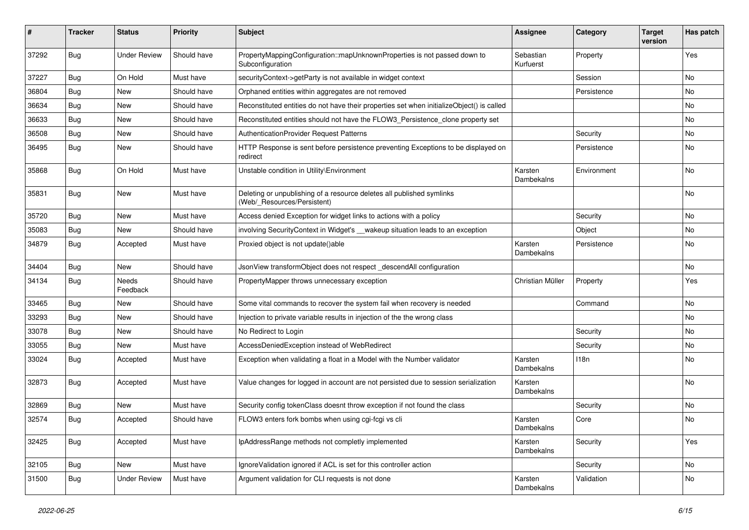| #     | <b>Tracker</b> | <b>Status</b>       | <b>Priority</b> | <b>Subject</b>                                                                                       | <b>Assignee</b>        | Category    | <b>Target</b><br>version | Has patch |
|-------|----------------|---------------------|-----------------|------------------------------------------------------------------------------------------------------|------------------------|-------------|--------------------------|-----------|
| 37292 | <b>Bug</b>     | <b>Under Review</b> | Should have     | PropertyMappingConfiguration::mapUnknownProperties is not passed down to<br>Subconfiguration         | Sebastian<br>Kurfuerst | Property    |                          | Yes       |
| 37227 | <b>Bug</b>     | On Hold             | Must have       | securityContext->getParty is not available in widget context                                         |                        | Session     |                          | No.       |
| 36804 | Bug            | New                 | Should have     | Orphaned entities within aggregates are not removed                                                  |                        | Persistence |                          | No        |
| 36634 | Bug            | New                 | Should have     | Reconstituted entities do not have their properties set when initializeObject() is called            |                        |             |                          | No        |
| 36633 | Bug            | New                 | Should have     | Reconstituted entities should not have the FLOW3_Persistence_clone property set                      |                        |             |                          | No.       |
| 36508 | <b>Bug</b>     | New                 | Should have     | AuthenticationProvider Request Patterns                                                              |                        | Security    |                          | No        |
| 36495 | Bug            | New                 | Should have     | HTTP Response is sent before persistence preventing Exceptions to be displayed on<br>redirect        |                        | Persistence |                          | No        |
| 35868 | Bug            | On Hold             | Must have       | Unstable condition in Utility\Environment                                                            | Karsten<br>Dambekalns  | Environment |                          | No        |
| 35831 | Bug            | New                 | Must have       | Deleting or unpublishing of a resource deletes all published symlinks<br>(Web/_Resources/Persistent) |                        |             |                          | No        |
| 35720 | <b>Bug</b>     | New                 | Must have       | Access denied Exception for widget links to actions with a policy                                    |                        | Security    |                          | No        |
| 35083 | <b>Bug</b>     | New                 | Should have     | involving SecurityContext in Widget's __wakeup situation leads to an exception                       |                        | Object      |                          | No        |
| 34879 | Bug            | Accepted            | Must have       | Proxied object is not update()able                                                                   | Karsten<br>Dambekalns  | Persistence |                          | No        |
| 34404 | Bug            | New                 | Should have     | JsonView transformObject does not respect _descendAll configuration                                  |                        |             |                          | No        |
| 34134 | Bug            | Needs<br>Feedback   | Should have     | PropertyMapper throws unnecessary exception                                                          | Christian Müller       | Property    |                          | Yes       |
| 33465 | Bug            | New                 | Should have     | Some vital commands to recover the system fail when recovery is needed                               |                        | Command     |                          | No        |
| 33293 | <b>Bug</b>     | New                 | Should have     | Injection to private variable results in injection of the the wrong class                            |                        |             |                          | No        |
| 33078 | <b>Bug</b>     | New                 | Should have     | No Redirect to Login                                                                                 |                        | Security    |                          | No        |
| 33055 | Bug            | New                 | Must have       | AccessDeniedException instead of WebRedirect                                                         |                        | Security    |                          | No        |
| 33024 | <b>Bug</b>     | Accepted            | Must have       | Exception when validating a float in a Model with the Number validator                               | Karsten<br>Dambekalns  | 118n        |                          | No        |
| 32873 | Bug            | Accepted            | Must have       | Value changes for logged in account are not persisted due to session serialization                   | Karsten<br>Dambekalns  |             |                          | <b>No</b> |
| 32869 | Bug            | New                 | Must have       | Security config tokenClass doesnt throw exception if not found the class                             |                        | Security    |                          | No        |
| 32574 | Bug            | Accepted            | Should have     | FLOW3 enters fork bombs when using cgi-fcgi vs cli                                                   | Karsten<br>Dambekalns  | Core        |                          | No        |
| 32425 | Bug            | Accepted            | Must have       | IpAddressRange methods not completly implemented                                                     | Karsten<br>Dambekalns  | Security    |                          | Yes       |
| 32105 | <b>Bug</b>     | New                 | Must have       | IgnoreValidation ignored if ACL is set for this controller action                                    |                        | Security    |                          | No        |
| 31500 | Bug            | <b>Under Review</b> | Must have       | Argument validation for CLI requests is not done                                                     | Karsten<br>Dambekalns  | Validation  |                          | No        |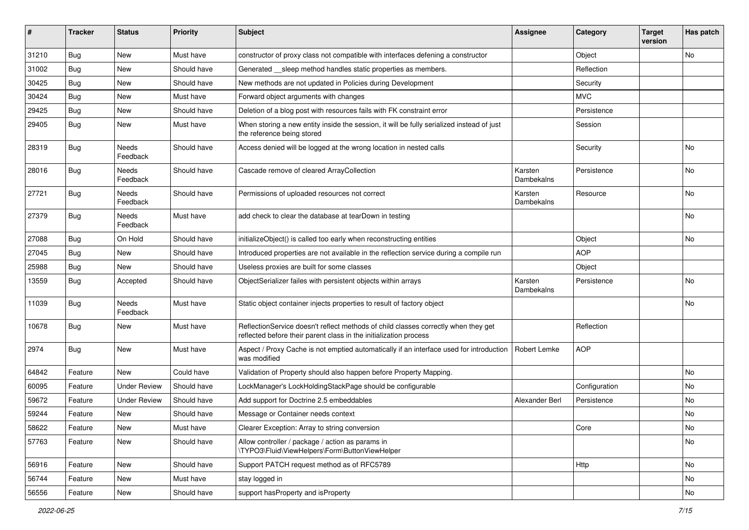| #     | <b>Tracker</b> | <b>Status</b>       | <b>Priority</b> | <b>Subject</b>                                                                                                                                          | <b>Assignee</b>       | Category      | <b>Target</b><br>version | Has patch |
|-------|----------------|---------------------|-----------------|---------------------------------------------------------------------------------------------------------------------------------------------------------|-----------------------|---------------|--------------------------|-----------|
| 31210 | Bug            | <b>New</b>          | Must have       | constructor of proxy class not compatible with interfaces defening a constructor                                                                        |                       | Object        |                          | <b>No</b> |
| 31002 | Bug            | New                 | Should have     | Generated __sleep method handles static properties as members.                                                                                          |                       | Reflection    |                          |           |
| 30425 | Bug            | New                 | Should have     | New methods are not updated in Policies during Development                                                                                              |                       | Security      |                          |           |
| 30424 | Bug            | New                 | Must have       | Forward object arguments with changes                                                                                                                   |                       | <b>MVC</b>    |                          |           |
| 29425 | Bug            | New                 | Should have     | Deletion of a blog post with resources fails with FK constraint error                                                                                   |                       | Persistence   |                          |           |
| 29405 | Bug            | New                 | Must have       | When storing a new entity inside the session, it will be fully serialized instead of just<br>the reference being stored                                 |                       | Session       |                          |           |
| 28319 | Bug            | Needs<br>Feedback   | Should have     | Access denied will be logged at the wrong location in nested calls                                                                                      |                       | Security      |                          | <b>No</b> |
| 28016 | Bug            | Needs<br>Feedback   | Should have     | Cascade remove of cleared ArrayCollection                                                                                                               | Karsten<br>Dambekalns | Persistence   |                          | No        |
| 27721 | <b>Bug</b>     | Needs<br>Feedback   | Should have     | Permissions of uploaded resources not correct                                                                                                           | Karsten<br>Dambekalns | Resource      |                          | No        |
| 27379 | Bug            | Needs<br>Feedback   | Must have       | add check to clear the database at tearDown in testing                                                                                                  |                       |               |                          | No        |
| 27088 | Bug            | On Hold             | Should have     | initializeObject() is called too early when reconstructing entities                                                                                     |                       | Object        |                          | No.       |
| 27045 | Bug            | New                 | Should have     | Introduced properties are not available in the reflection service during a compile run                                                                  |                       | <b>AOP</b>    |                          |           |
| 25988 | Bug            | New                 | Should have     | Useless proxies are built for some classes                                                                                                              |                       | Object        |                          |           |
| 13559 | Bug            | Accepted            | Should have     | ObjectSerializer failes with persistent objects within arrays                                                                                           | Karsten<br>Dambekalns | Persistence   |                          | No        |
| 11039 | <b>Bug</b>     | Needs<br>Feedback   | Must have       | Static object container injects properties to result of factory object                                                                                  |                       |               |                          | No        |
| 10678 | <b>Bug</b>     | New                 | Must have       | ReflectionService doesn't reflect methods of child classes correctly when they get<br>reflected before their parent class in the initialization process |                       | Reflection    |                          |           |
| 2974  | Bug            | <b>New</b>          | Must have       | Aspect / Proxy Cache is not emptied automatically if an interface used for introduction<br>was modified                                                 | Robert Lemke          | <b>AOP</b>    |                          |           |
| 64842 | Feature        | New                 | Could have      | Validation of Property should also happen before Property Mapping.                                                                                      |                       |               |                          | No        |
| 60095 | Feature        | <b>Under Review</b> | Should have     | LockManager's LockHoldingStackPage should be configurable                                                                                               |                       | Configuration |                          | No.       |
| 59672 | Feature        | <b>Under Review</b> | Should have     | Add support for Doctrine 2.5 embeddables                                                                                                                | Alexander Berl        | Persistence   |                          | No        |
| 59244 | Feature        | New                 | Should have     | Message or Container needs context                                                                                                                      |                       |               |                          | No        |
| 58622 | Feature        | New                 | Must have       | Clearer Exception: Array to string conversion                                                                                                           |                       | Core          |                          | No        |
| 57763 | Feature        | New                 | Should have     | Allow controller / package / action as params in<br>\TYPO3\Fluid\ViewHelpers\Form\ButtonViewHelper                                                      |                       |               |                          | No        |
| 56916 | Feature        | New                 | Should have     | Support PATCH request method as of RFC5789                                                                                                              |                       | Http          |                          | No        |
| 56744 | Feature        | New                 | Must have       | stay logged in                                                                                                                                          |                       |               |                          | No        |
| 56556 | Feature        | New                 | Should have     | support hasProperty and isProperty                                                                                                                      |                       |               |                          | No        |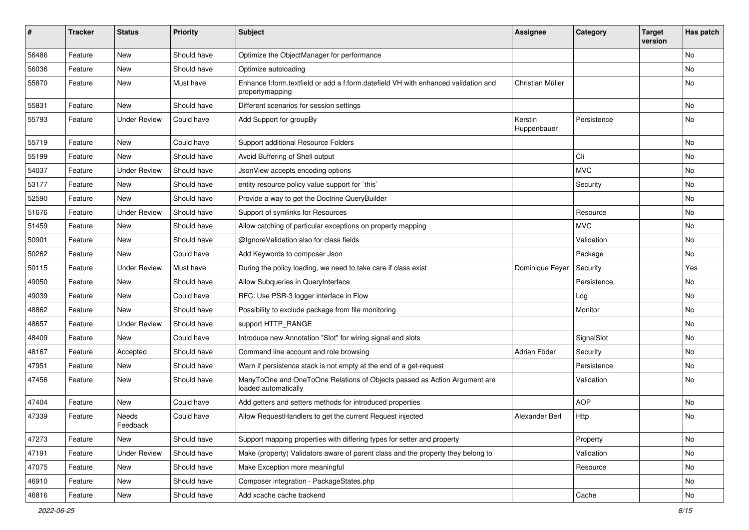| #     | <b>Tracker</b> | <b>Status</b>       | <b>Priority</b> | <b>Subject</b>                                                                                        | Assignee               | Category    | <b>Target</b><br>version | Has patch |
|-------|----------------|---------------------|-----------------|-------------------------------------------------------------------------------------------------------|------------------------|-------------|--------------------------|-----------|
| 56486 | Feature        | <b>New</b>          | Should have     | Optimize the ObjectManager for performance                                                            |                        |             |                          | No        |
| 56036 | Feature        | New                 | Should have     | Optimize autoloading                                                                                  |                        |             |                          | No        |
| 55870 | Feature        | New                 | Must have       | Enhance f:form.textfield or add a f:form.datefield VH with enhanced validation and<br>propertymapping | Christian Müller       |             |                          | No        |
| 55831 | Feature        | <b>New</b>          | Should have     | Different scenarios for session settings                                                              |                        |             |                          | No        |
| 55793 | Feature        | <b>Under Review</b> | Could have      | Add Support for groupBy                                                                               | Kerstin<br>Huppenbauer | Persistence |                          | No        |
| 55719 | Feature        | New                 | Could have      | Support additional Resource Folders                                                                   |                        |             |                          | No        |
| 55199 | Feature        | <b>New</b>          | Should have     | Avoid Buffering of Shell output                                                                       |                        | Cli         |                          | No        |
| 54037 | Feature        | <b>Under Review</b> | Should have     | JsonView accepts encoding options                                                                     |                        | <b>MVC</b>  |                          | No        |
| 53177 | Feature        | New                 | Should have     | entity resource policy value support for `this`                                                       |                        | Security    |                          | No        |
| 52590 | Feature        | <b>New</b>          | Should have     | Provide a way to get the Doctrine QueryBuilder                                                        |                        |             |                          | No        |
| 51676 | Feature        | <b>Under Review</b> | Should have     | Support of symlinks for Resources                                                                     |                        | Resource    |                          | No        |
| 51459 | Feature        | New                 | Should have     | Allow catching of particular exceptions on property mapping                                           |                        | <b>MVC</b>  |                          | No        |
| 50901 | Feature        | New                 | Should have     | @IgnoreValidation also for class fields                                                               |                        | Validation  |                          | No        |
| 50262 | Feature        | New                 | Could have      | Add Keywords to composer Json                                                                         |                        | Package     |                          | No        |
| 50115 | Feature        | <b>Under Review</b> | Must have       | During the policy loading, we need to take care if class exist                                        | Dominique Feyer        | Security    |                          | Yes       |
| 49050 | Feature        | New                 | Should have     | Allow Subqueries in QueryInterface                                                                    |                        | Persistence |                          | No        |
| 49039 | Feature        | New                 | Could have      | RFC: Use PSR-3 logger interface in Flow                                                               |                        | Log         |                          | No.       |
| 48862 | Feature        | New                 | Should have     | Possibility to exclude package from file monitoring                                                   |                        | Monitor     |                          | No        |
| 48657 | Feature        | <b>Under Review</b> | Should have     | support HTTP_RANGE                                                                                    |                        |             |                          | No        |
| 48409 | Feature        | <b>New</b>          | Could have      | Introduce new Annotation "Slot" for wiring signal and slots                                           |                        | SignalSlot  |                          | No        |
| 48167 | Feature        | Accepted            | Should have     | Command line account and role browsing                                                                | Adrian Föder           | Security    |                          | No        |
| 47951 | Feature        | New                 | Should have     | Warn if persistence stack is not empty at the end of a get-request                                    |                        | Persistence |                          | No        |
| 47456 | Feature        | New                 | Should have     | ManyToOne and OneToOne Relations of Objects passed as Action Argument are<br>loaded automatically     |                        | Validation  |                          | No        |
| 47404 | Feature        | <b>New</b>          | Could have      | Add getters and setters methods for introduced properties                                             |                        | <b>AOP</b>  |                          | No.       |
| 47339 | Feature        | Needs<br>Feedback   | Could have      | Allow RequestHandlers to get the current Request injected                                             | Alexander Berl         | Http        |                          | No        |
| 47273 | Feature        | <b>New</b>          | Should have     | Support mapping properties with differing types for setter and property                               |                        | Property    |                          | No        |
| 47191 | Feature        | <b>Under Review</b> | Should have     | Make (property) Validators aware of parent class and the property they belong to                      |                        | Validation  |                          | No        |
| 47075 | Feature        | New                 | Should have     | Make Exception more meaningful                                                                        |                        | Resource    |                          | No        |
| 46910 | Feature        | New                 | Should have     | Composer integration - PackageStates.php                                                              |                        |             |                          | No        |
| 46816 | Feature        | New                 | Should have     | Add xcache cache backend                                                                              |                        | Cache       |                          | No        |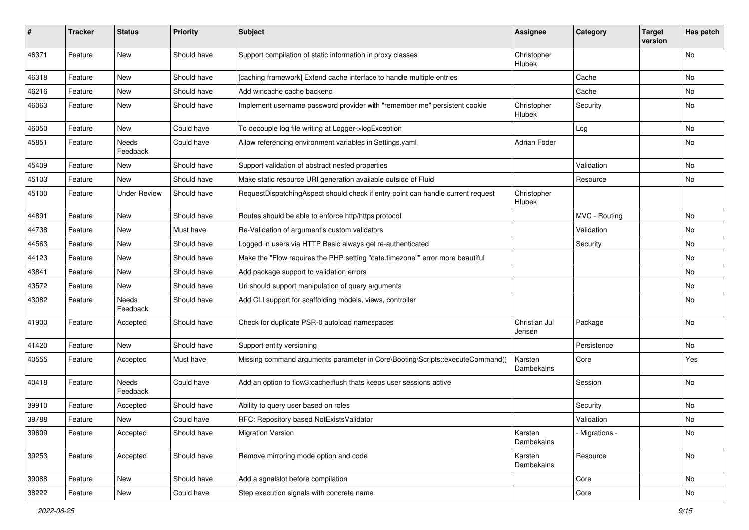| ∦     | <b>Tracker</b> | <b>Status</b>            | <b>Priority</b> | <b>Subject</b>                                                                  | <b>Assignee</b>         | Category       | <b>Target</b><br>version | Has patch |
|-------|----------------|--------------------------|-----------------|---------------------------------------------------------------------------------|-------------------------|----------------|--------------------------|-----------|
| 46371 | Feature        | New                      | Should have     | Support compilation of static information in proxy classes                      | Christopher<br>Hlubek   |                |                          | No        |
| 46318 | Feature        | New                      | Should have     | [caching framework] Extend cache interface to handle multiple entries           |                         | Cache          |                          | No        |
| 46216 | Feature        | <b>New</b>               | Should have     | Add wincache cache backend                                                      |                         | Cache          |                          | No        |
| 46063 | Feature        | New                      | Should have     | Implement username password provider with "remember me" persistent cookie       | Christopher<br>Hlubek   | Security       |                          | No        |
| 46050 | Feature        | New                      | Could have      | To decouple log file writing at Logger->logException                            |                         | Log            |                          | No        |
| 45851 | Feature        | Needs<br>Feedback        | Could have      | Allow referencing environment variables in Settings.yaml                        | Adrian Föder            |                |                          | No        |
| 45409 | Feature        | New                      | Should have     | Support validation of abstract nested properties                                |                         | Validation     |                          | <b>No</b> |
| 45103 | Feature        | New                      | Should have     | Make static resource URI generation available outside of Fluid                  |                         | Resource       |                          | No        |
| 45100 | Feature        | <b>Under Review</b>      | Should have     | RequestDispatchingAspect should check if entry point can handle current request | Christopher<br>Hlubek   |                |                          |           |
| 44891 | Feature        | New                      | Should have     | Routes should be able to enforce http/https protocol                            |                         | MVC - Routing  |                          | <b>No</b> |
| 44738 | Feature        | New                      | Must have       | Re-Validation of argument's custom validators                                   |                         | Validation     |                          | No        |
| 44563 | Feature        | New                      | Should have     | Logged in users via HTTP Basic always get re-authenticated                      |                         | Security       |                          | No        |
| 44123 | Feature        | New                      | Should have     | Make the "Flow requires the PHP setting "date.timezone"" error more beautiful   |                         |                |                          | No        |
| 43841 | Feature        | New                      | Should have     | Add package support to validation errors                                        |                         |                |                          | No        |
| 43572 | Feature        | New                      | Should have     | Uri should support manipulation of query arguments                              |                         |                |                          | No        |
| 43082 | Feature        | <b>Needs</b><br>Feedback | Should have     | Add CLI support for scaffolding models, views, controller                       |                         |                |                          | No        |
| 41900 | Feature        | Accepted                 | Should have     | Check for duplicate PSR-0 autoload namespaces                                   | Christian Jul<br>Jensen | Package        |                          | No        |
| 41420 | Feature        | New                      | Should have     | Support entity versioning                                                       |                         | Persistence    |                          | <b>No</b> |
| 40555 | Feature        | Accepted                 | Must have       | Missing command arguments parameter in Core\Booting\Scripts::executeCommand()   | Karsten<br>Dambekalns   | Core           |                          | Yes       |
| 40418 | Feature        | Needs<br>Feedback        | Could have      | Add an option to flow3:cache:flush thats keeps user sessions active             |                         | Session        |                          | No        |
| 39910 | Feature        | Accepted                 | Should have     | Ability to query user based on roles                                            |                         | Security       |                          | No        |
| 39788 | Feature        | New                      | Could have      | RFC: Repository based NotExistsValidator                                        |                         | Validation     |                          | No        |
| 39609 | Feature        | Accepted                 | Should have     | <b>Migration Version</b>                                                        | Karsten<br>Dambekalns   | - Migrations - |                          | No        |
| 39253 | Feature        | Accepted                 | Should have     | Remove mirroring mode option and code                                           | Karsten<br>Dambekalns   | Resource       |                          | No        |
| 39088 | Feature        | New                      | Should have     | Add a sgnalslot before compilation                                              |                         | Core           |                          | No        |
| 38222 | Feature        | New                      | Could have      | Step execution signals with concrete name                                       |                         | Core           |                          | No        |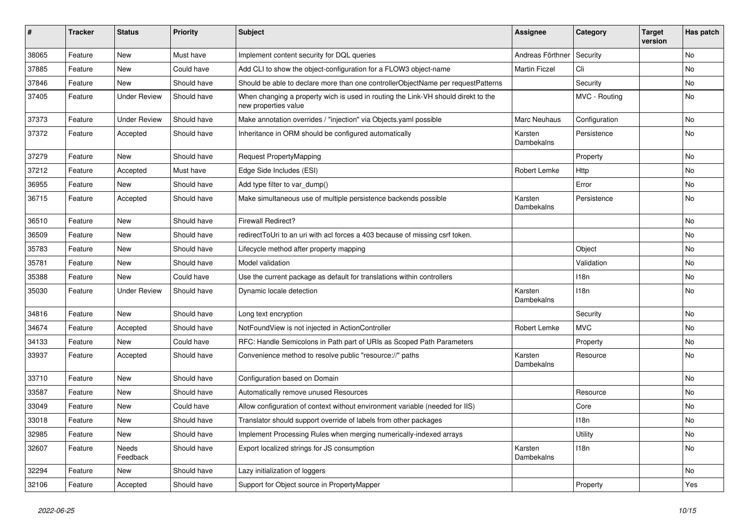| #     | <b>Tracker</b> | <b>Status</b>       | <b>Priority</b> | <b>Subject</b>                                                                                            | <b>Assignee</b>       | Category      | <b>Target</b><br>version | Has patch |
|-------|----------------|---------------------|-----------------|-----------------------------------------------------------------------------------------------------------|-----------------------|---------------|--------------------------|-----------|
| 38065 | Feature        | <b>New</b>          | Must have       | Implement content security for DQL queries                                                                | Andreas Förthner      | Security      |                          | No        |
| 37885 | Feature        | New                 | Could have      | Add CLI to show the object-configuration for a FLOW3 object-name                                          | <b>Martin Ficzel</b>  | Cli           |                          | No        |
| 37846 | Feature        | New                 | Should have     | Should be able to declare more than one controllerObjectName per requestPatterns                          |                       | Security      |                          | No        |
| 37405 | Feature        | <b>Under Review</b> | Should have     | When changing a property wich is used in routing the Link-VH should direkt to the<br>new properties value |                       | MVC - Routing |                          | No        |
| 37373 | Feature        | <b>Under Review</b> | Should have     | Make annotation overrides / "injection" via Objects.yaml possible                                         | <b>Marc Neuhaus</b>   | Configuration |                          | <b>No</b> |
| 37372 | Feature        | Accepted            | Should have     | Inheritance in ORM should be configured automatically                                                     | Karsten<br>Dambekalns | Persistence   |                          | No        |
| 37279 | Feature        | <b>New</b>          | Should have     | Request PropertyMapping                                                                                   |                       | Property      |                          | <b>No</b> |
| 37212 | Feature        | Accepted            | Must have       | Edge Side Includes (ESI)                                                                                  | Robert Lemke          | Http          |                          | No        |
| 36955 | Feature        | New                 | Should have     | Add type filter to var_dump()                                                                             |                       | Error         |                          | No        |
| 36715 | Feature        | Accepted            | Should have     | Make simultaneous use of multiple persistence backends possible                                           | Karsten<br>Dambekalns | Persistence   |                          | No        |
| 36510 | Feature        | New                 | Should have     | <b>Firewall Redirect?</b>                                                                                 |                       |               |                          | No        |
| 36509 | Feature        | New                 | Should have     | redirectToUri to an uri with acl forces a 403 because of missing csrf token.                              |                       |               |                          | No        |
| 35783 | Feature        | New                 | Should have     | Lifecycle method after property mapping                                                                   |                       | Object        |                          | No        |
| 35781 | Feature        | New                 | Should have     | Model validation                                                                                          |                       | Validation    |                          | No        |
| 35388 | Feature        | New                 | Could have      | Use the current package as default for translations within controllers                                    |                       | 118n          |                          | No        |
| 35030 | Feature        | <b>Under Review</b> | Should have     | Dynamic locale detection                                                                                  | Karsten<br>Dambekalns | 118n          |                          | No        |
| 34816 | Feature        | New                 | Should have     | Long text encryption                                                                                      |                       | Security      |                          | No        |
| 34674 | Feature        | Accepted            | Should have     | NotFoundView is not injected in ActionController                                                          | Robert Lemke          | <b>MVC</b>    |                          | <b>No</b> |
| 34133 | Feature        | New                 | Could have      | RFC: Handle Semicolons in Path part of URIs as Scoped Path Parameters                                     |                       | Property      |                          | No        |
| 33937 | Feature        | Accepted            | Should have     | Convenience method to resolve public "resource://" paths                                                  | Karsten<br>Dambekalns | Resource      |                          | No        |
| 33710 | Feature        | New                 | Should have     | Configuration based on Domain                                                                             |                       |               |                          | <b>No</b> |
| 33587 | Feature        | New                 | Should have     | Automatically remove unused Resources                                                                     |                       | Resource      |                          | No        |
| 33049 | Feature        | New                 | Could have      | Allow configuration of context without environment variable (needed for IIS)                              |                       | Core          |                          | No        |
| 33018 | Feature        | New                 | Should have     | Translator should support override of labels from other packages                                          |                       | 118n          |                          | No        |
| 32985 | Feature        | <b>New</b>          | Should have     | Implement Processing Rules when merging numerically-indexed arrays                                        |                       | Utility       |                          | No        |
| 32607 | Feature        | Needs<br>Feedback   | Should have     | Export localized strings for JS consumption                                                               | Karsten<br>Dambekalns | 118n          |                          | No        |
| 32294 | Feature        | New                 | Should have     | Lazy initialization of loggers                                                                            |                       |               |                          | No        |
| 32106 | Feature        | Accepted            | Should have     | Support for Object source in PropertyMapper                                                               |                       | Property      |                          | Yes       |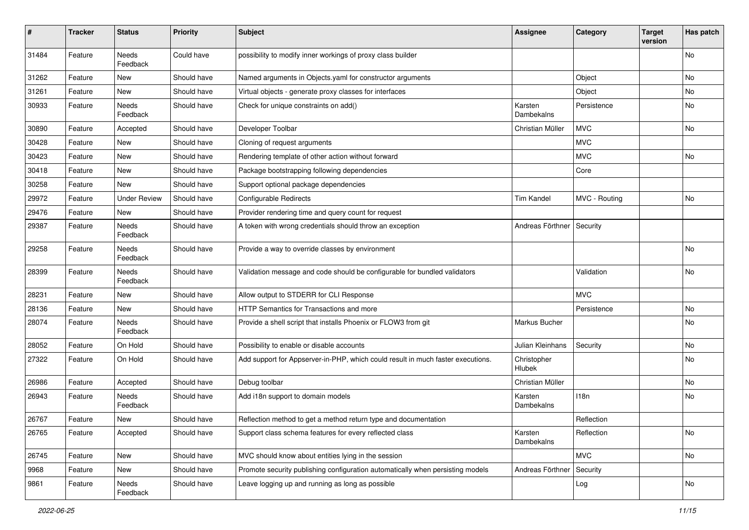| #     | <b>Tracker</b> | <b>Status</b>            | <b>Priority</b> | <b>Subject</b>                                                                  | <b>Assignee</b>       | Category      | <b>Target</b><br>version | Has patch |
|-------|----------------|--------------------------|-----------------|---------------------------------------------------------------------------------|-----------------------|---------------|--------------------------|-----------|
| 31484 | Feature        | Needs<br>Feedback        | Could have      | possibility to modify inner workings of proxy class builder                     |                       |               |                          | No        |
| 31262 | Feature        | <b>New</b>               | Should have     | Named arguments in Objects.yaml for constructor arguments                       |                       | Object        |                          | No        |
| 31261 | Feature        | <b>New</b>               | Should have     | Virtual objects - generate proxy classes for interfaces                         |                       | Object        |                          | No        |
| 30933 | Feature        | Needs<br>Feedback        | Should have     | Check for unique constraints on add()                                           | Karsten<br>Dambekalns | Persistence   |                          | No        |
| 30890 | Feature        | Accepted                 | Should have     | Developer Toolbar                                                               | Christian Müller      | <b>MVC</b>    |                          | No        |
| 30428 | Feature        | New                      | Should have     | Cloning of request arguments                                                    |                       | <b>MVC</b>    |                          |           |
| 30423 | Feature        | <b>New</b>               | Should have     | Rendering template of other action without forward                              |                       | <b>MVC</b>    |                          | No        |
| 30418 | Feature        | New                      | Should have     | Package bootstrapping following dependencies                                    |                       | Core          |                          |           |
| 30258 | Feature        | New                      | Should have     | Support optional package dependencies                                           |                       |               |                          |           |
| 29972 | Feature        | <b>Under Review</b>      | Should have     | <b>Configurable Redirects</b>                                                   | <b>Tim Kandel</b>     | MVC - Routing |                          | No        |
| 29476 | Feature        | New                      | Should have     | Provider rendering time and query count for request                             |                       |               |                          |           |
| 29387 | Feature        | Needs<br>Feedback        | Should have     | A token with wrong credentials should throw an exception                        | Andreas Förthner      | Security      |                          |           |
| 29258 | Feature        | Needs<br>Feedback        | Should have     | Provide a way to override classes by environment                                |                       |               |                          | No        |
| 28399 | Feature        | Needs<br>Feedback        | Should have     | Validation message and code should be configurable for bundled validators       |                       | Validation    |                          | No        |
| 28231 | Feature        | <b>New</b>               | Should have     | Allow output to STDERR for CLI Response                                         |                       | <b>MVC</b>    |                          |           |
| 28136 | Feature        | New                      | Should have     | HTTP Semantics for Transactions and more                                        |                       | Persistence   |                          | No        |
| 28074 | Feature        | <b>Needs</b><br>Feedback | Should have     | Provide a shell script that installs Phoenix or FLOW3 from git                  | Markus Bucher         |               |                          | No        |
| 28052 | Feature        | On Hold                  | Should have     | Possibility to enable or disable accounts                                       | Julian Kleinhans      | Security      |                          | No        |
| 27322 | Feature        | On Hold                  | Should have     | Add support for Appserver-in-PHP, which could result in much faster executions. | Christopher<br>Hlubek |               |                          | No        |
| 26986 | Feature        | Accepted                 | Should have     | Debug toolbar                                                                   | Christian Müller      |               |                          | No        |
| 26943 | Feature        | Needs<br>Feedback        | Should have     | Add i18n support to domain models                                               | Karsten<br>Dambekalns | 118n          |                          | No        |
| 26767 | Feature        | New                      | Should have     | Reflection method to get a method return type and documentation                 |                       | Reflection    |                          |           |
| 26765 | Feature        | Accepted                 | Should have     | Support class schema features for every reflected class                         | Karsten<br>Dambekalns | Reflection    |                          | No        |
| 26745 | Feature        | New                      | Should have     | MVC should know about entities lying in the session                             |                       | <b>MVC</b>    |                          | No        |
| 9968  | Feature        | New                      | Should have     | Promote security publishing configuration automatically when persisting models  | Andreas Förthner      | Security      |                          |           |
| 9861  | Feature        | Needs<br>Feedback        | Should have     | Leave logging up and running as long as possible                                |                       | Log           |                          | No        |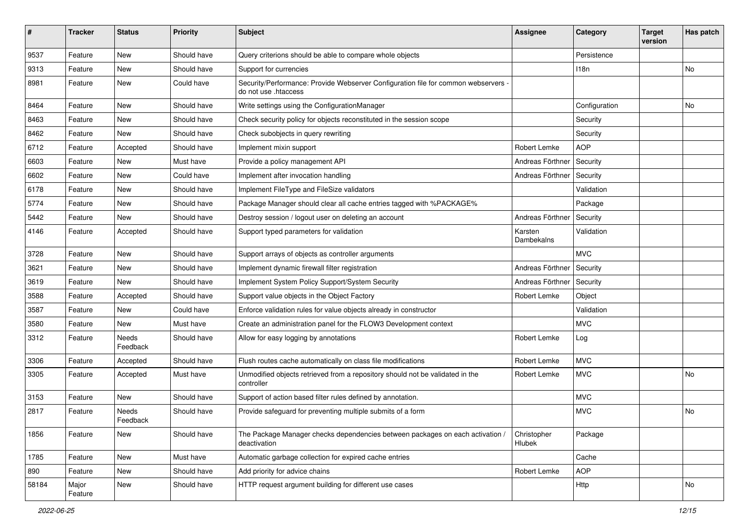| #     | <b>Tracker</b>   | <b>Status</b>     | <b>Priority</b> | Subject                                                                                                    | Assignee                     | Category      | <b>Target</b><br>version | Has patch |
|-------|------------------|-------------------|-----------------|------------------------------------------------------------------------------------------------------------|------------------------------|---------------|--------------------------|-----------|
| 9537  | Feature          | <b>New</b>        | Should have     | Query criterions should be able to compare whole objects                                                   |                              | Persistence   |                          |           |
| 9313  | Feature          | New               | Should have     | Support for currencies                                                                                     |                              | 118n          |                          | No.       |
| 8981  | Feature          | New               | Could have      | Security/Performance: Provide Webserver Configuration file for common webservers -<br>do not use .htaccess |                              |               |                          |           |
| 8464  | Feature          | <b>New</b>        | Should have     | Write settings using the ConfigurationManager                                                              |                              | Configuration |                          | No        |
| 8463  | Feature          | New               | Should have     | Check security policy for objects reconstituted in the session scope                                       |                              | Security      |                          |           |
| 8462  | Feature          | New               | Should have     | Check subobjects in query rewriting                                                                        |                              | Security      |                          |           |
| 6712  | Feature          | Accepted          | Should have     | Implement mixin support                                                                                    | Robert Lemke                 | <b>AOP</b>    |                          |           |
| 6603  | Feature          | New               | Must have       | Provide a policy management API                                                                            | Andreas Förthner             | Security      |                          |           |
| 6602  | Feature          | New               | Could have      | Implement after invocation handling                                                                        | Andreas Förthner             | Security      |                          |           |
| 6178  | Feature          | New               | Should have     | Implement FileType and FileSize validators                                                                 |                              | Validation    |                          |           |
| 5774  | Feature          | New               | Should have     | Package Manager should clear all cache entries tagged with %PACKAGE%                                       |                              | Package       |                          |           |
| 5442  | Feature          | New               | Should have     | Destroy session / logout user on deleting an account                                                       | Andreas Förthner             | Security      |                          |           |
| 4146  | Feature          | Accepted          | Should have     | Support typed parameters for validation                                                                    | Karsten<br><b>Dambekalns</b> | Validation    |                          |           |
| 3728  | Feature          | <b>New</b>        | Should have     | Support arrays of objects as controller arguments                                                          |                              | <b>MVC</b>    |                          |           |
| 3621  | Feature          | <b>New</b>        | Should have     | Implement dynamic firewall filter registration                                                             | Andreas Förthner             | Security      |                          |           |
| 3619  | Feature          | New               | Should have     | Implement System Policy Support/System Security                                                            | Andreas Förthner             | Security      |                          |           |
| 3588  | Feature          | Accepted          | Should have     | Support value objects in the Object Factory                                                                | Robert Lemke                 | Object        |                          |           |
| 3587  | Feature          | New               | Could have      | Enforce validation rules for value objects already in constructor                                          |                              | Validation    |                          |           |
| 3580  | Feature          | New               | Must have       | Create an administration panel for the FLOW3 Development context                                           |                              | <b>MVC</b>    |                          |           |
| 3312  | Feature          | Needs<br>Feedback | Should have     | Allow for easy logging by annotations                                                                      | Robert Lemke                 | Log           |                          |           |
| 3306  | Feature          | Accepted          | Should have     | Flush routes cache automatically on class file modifications                                               | Robert Lemke                 | <b>MVC</b>    |                          |           |
| 3305  | Feature          | Accepted          | Must have       | Unmodified objects retrieved from a repository should not be validated in the<br>controller                | Robert Lemke                 | <b>MVC</b>    |                          | No        |
| 3153  | Feature          | New               | Should have     | Support of action based filter rules defined by annotation.                                                |                              | <b>MVC</b>    |                          |           |
| 2817  | Feature          | Needs<br>Feedback | Should have     | Provide safeguard for preventing multiple submits of a form                                                |                              | <b>MVC</b>    |                          | No        |
| 1856  | Feature          | New               | Should have     | The Package Manager checks dependencies between packages on each activation /<br>deactivation              | Christopher<br>Hlubek        | Package       |                          |           |
| 1785  | Feature          | <b>New</b>        | Must have       | Automatic garbage collection for expired cache entries                                                     |                              | Cache         |                          |           |
| 890   | Feature          | <b>New</b>        | Should have     | Add priority for advice chains                                                                             | Robert Lemke                 | <b>AOP</b>    |                          |           |
| 58184 | Major<br>Feature | New               | Should have     | HTTP request argument building for different use cases                                                     |                              | Http          |                          | No        |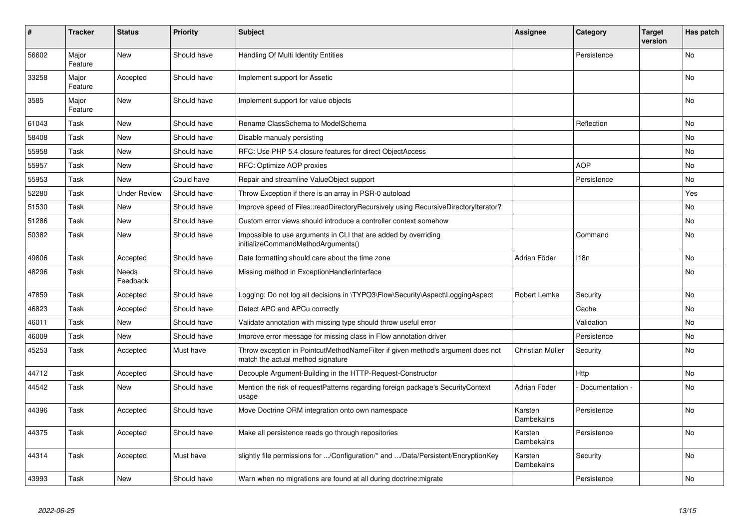| ∦     | <b>Tracker</b>   | <b>Status</b>       | <b>Priority</b> | <b>Subject</b>                                                                                                       | Assignee              | Category        | <b>Target</b><br>version | Has patch      |
|-------|------------------|---------------------|-----------------|----------------------------------------------------------------------------------------------------------------------|-----------------------|-----------------|--------------------------|----------------|
| 56602 | Major<br>Feature | <b>New</b>          | Should have     | Handling Of Multi Identity Entities                                                                                  |                       | Persistence     |                          | N <sub>o</sub> |
| 33258 | Major<br>Feature | Accepted            | Should have     | Implement support for Assetic                                                                                        |                       |                 |                          | No             |
| 3585  | Major<br>Feature | <b>New</b>          | Should have     | Implement support for value objects                                                                                  |                       |                 |                          | No.            |
| 61043 | Task             | <b>New</b>          | Should have     | Rename ClassSchema to ModelSchema                                                                                    |                       | Reflection      |                          | No.            |
| 58408 | Task             | <b>New</b>          | Should have     | Disable manualy persisting                                                                                           |                       |                 |                          | No             |
| 55958 | Task             | <b>New</b>          | Should have     | RFC: Use PHP 5.4 closure features for direct ObjectAccess                                                            |                       |                 |                          | No             |
| 55957 | Task             | <b>New</b>          | Should have     | RFC: Optimize AOP proxies                                                                                            |                       | <b>AOP</b>      |                          | No             |
| 55953 | Task             | <b>New</b>          | Could have      | Repair and streamline ValueObject support                                                                            |                       | Persistence     |                          | No.            |
| 52280 | Task             | <b>Under Review</b> | Should have     | Throw Exception if there is an array in PSR-0 autoload                                                               |                       |                 |                          | Yes            |
| 51530 | Task             | <b>New</b>          | Should have     | Improve speed of Files::readDirectoryRecursively using RecursiveDirectoryIterator?                                   |                       |                 |                          | N <sub>o</sub> |
| 51286 | Task             | <b>New</b>          | Should have     | Custom error views should introduce a controller context somehow                                                     |                       |                 |                          | <b>No</b>      |
| 50382 | Task             | <b>New</b>          | Should have     | Impossible to use arguments in CLI that are added by overriding<br>initializeCommandMethodArguments()                |                       | Command         |                          | <b>No</b>      |
| 49806 | Task             | Accepted            | Should have     | Date formatting should care about the time zone                                                                      | Adrian Föder          | 118n            |                          | <b>No</b>      |
| 48296 | Task             | Needs<br>Feedback   | Should have     | Missing method in ExceptionHandlerInterface                                                                          |                       |                 |                          | N <sub>o</sub> |
| 47859 | Task             | Accepted            | Should have     | Logging: Do not log all decisions in \TYPO3\Flow\Security\Aspect\LoggingAspect                                       | Robert Lemke          | Security        |                          | <b>No</b>      |
| 46823 | Task             | Accepted            | Should have     | Detect APC and APCu correctly                                                                                        |                       | Cache           |                          | <b>No</b>      |
| 46011 | Task             | <b>New</b>          | Should have     | Validate annotation with missing type should throw useful error                                                      |                       | Validation      |                          | No             |
| 46009 | Task             | <b>New</b>          | Should have     | Improve error message for missing class in Flow annotation driver                                                    |                       | Persistence     |                          | N <sub>o</sub> |
| 45253 | Task             | Accepted            | Must have       | Throw exception in PointcutMethodNameFilter if given method's argument does not<br>match the actual method signature | Christian Müller      | Security        |                          | N <sub>o</sub> |
| 44712 | Task             | Accepted            | Should have     | Decouple Argument-Building in the HTTP-Request-Constructor                                                           |                       | Http            |                          | No             |
| 44542 | Task             | <b>New</b>          | Should have     | Mention the risk of requestPatterns regarding foreign package's SecurityContext<br>usage                             | Adrian Föder          | Documentation - |                          | N <sub>o</sub> |
| 44396 | Task             | Accepted            | Should have     | Move Doctrine ORM integration onto own namespace                                                                     | Karsten<br>Dambekalns | Persistence     |                          | N <sub>o</sub> |
| 44375 | Task             | Accepted            | Should have     | Make all persistence reads go through repositories                                                                   | Karsten<br>Dambekalns | Persistence     |                          | N <sub>o</sub> |
| 44314 | Task             | Accepted            | Must have       | slightly file permissions for /Configuration/* and /Data/Persistent/EncryptionKey                                    | Karsten<br>Dambekalns | Security        |                          | No.            |
| 43993 | Task             | <b>New</b>          | Should have     | Warn when no migrations are found at all during doctrine:migrate                                                     |                       | Persistence     |                          | No.            |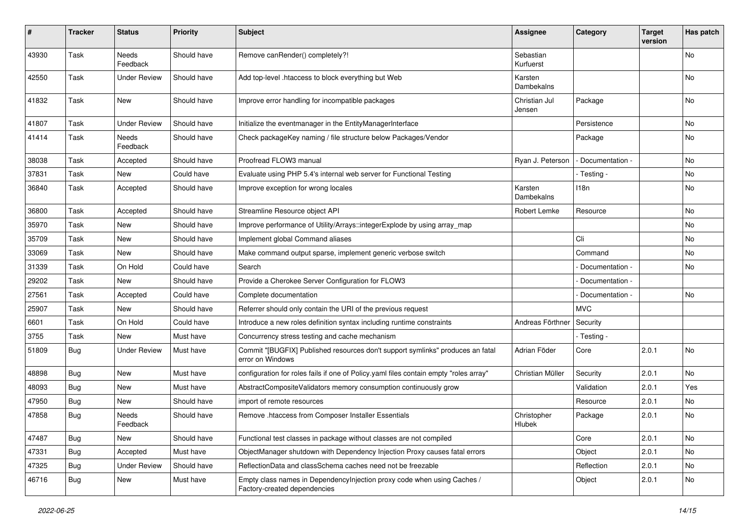| #     | Tracker    | <b>Status</b>       | <b>Priority</b> | <b>Subject</b>                                                                                          | Assignee                | Category          | <b>Target</b><br>version | Has patch |
|-------|------------|---------------------|-----------------|---------------------------------------------------------------------------------------------------------|-------------------------|-------------------|--------------------------|-----------|
| 43930 | Task       | Needs<br>Feedback   | Should have     | Remove canRender() completely?!                                                                         | Sebastian<br>Kurfuerst  |                   |                          | No        |
| 42550 | Task       | Under Review        | Should have     | Add top-level .htaccess to block everything but Web                                                     | Karsten<br>Dambekalns   |                   |                          | No        |
| 41832 | Task       | New                 | Should have     | Improve error handling for incompatible packages                                                        | Christian Jul<br>Jensen | Package           |                          | No        |
| 41807 | Task       | <b>Under Review</b> | Should have     | Initialize the eventmanager in the EntityManagerInterface                                               |                         | Persistence       |                          | No        |
| 41414 | Task       | Needs<br>Feedback   | Should have     | Check packageKey naming / file structure below Packages/Vendor                                          |                         | Package           |                          | No        |
| 38038 | Task       | Accepted            | Should have     | Proofread FLOW3 manual                                                                                  | Ryan J. Peterson        | - Documentation - |                          | No        |
| 37831 | Task       | New                 | Could have      | Evaluate using PHP 5.4's internal web server for Functional Testing                                     |                         | - Testing -       |                          | No        |
| 36840 | Task       | Accepted            | Should have     | Improve exception for wrong locales                                                                     | Karsten<br>Dambekalns   | 118n              |                          | No        |
| 36800 | Task       | Accepted            | Should have     | Streamline Resource object API                                                                          | Robert Lemke            | Resource          |                          | No        |
| 35970 | Task       | <b>New</b>          | Should have     | Improve performance of Utility/Arrays::integerExplode by using array_map                                |                         |                   |                          | No        |
| 35709 | Task       | New                 | Should have     | Implement global Command aliases                                                                        |                         | Cli               |                          | No        |
| 33069 | Task       | New                 | Should have     | Make command output sparse, implement generic verbose switch                                            |                         | Command           |                          | No        |
| 31339 | Task       | On Hold             | Could have      | Search                                                                                                  |                         | Documentation -   |                          | No        |
| 29202 | Task       | New                 | Should have     | Provide a Cherokee Server Configuration for FLOW3                                                       |                         | Documentation -   |                          |           |
| 27561 | Task       | Accepted            | Could have      | Complete documentation                                                                                  |                         | Documentation -   |                          | <b>No</b> |
| 25907 | Task       | New                 | Should have     | Referrer should only contain the URI of the previous request                                            |                         | <b>MVC</b>        |                          |           |
| 6601  | Task       | On Hold             | Could have      | Introduce a new roles definition syntax including runtime constraints                                   | Andreas Förthner        | Security          |                          |           |
| 3755  | Task       | New                 | Must have       | Concurrency stress testing and cache mechanism                                                          |                         | - Testing -       |                          |           |
| 51809 | <b>Bug</b> | <b>Under Review</b> | Must have       | Commit "[BUGFIX] Published resources don't support symlinks" produces an fatal<br>error on Windows      | Adrian Föder            | Core              | 2.0.1                    | <b>No</b> |
| 48898 | <b>Bug</b> | New                 | Must have       | configuration for roles fails if one of Policy yaml files contain empty "roles array"                   | Christian Müller        | Security          | 2.0.1                    | <b>No</b> |
| 48093 | Bug        | New                 | Must have       | AbstractCompositeValidators memory consumption continuously grow                                        |                         | Validation        | 2.0.1                    | Yes       |
| 47950 | <b>Bug</b> | New                 | Should have     | import of remote resources                                                                              |                         | Resource          | 2.0.1                    | No        |
| 47858 | <b>Bug</b> | Needs<br>Feedback   | Should have     | Remove .htaccess from Composer Installer Essentials                                                     | Christopher<br>Hlubek   | Package           | 2.0.1                    | No        |
| 47487 | <b>Bug</b> | New                 | Should have     | Functional test classes in package without classes are not compiled                                     |                         | Core              | 2.0.1                    | No        |
| 47331 | Bug        | Accepted            | Must have       | ObjectManager shutdown with Dependency Injection Proxy causes fatal errors                              |                         | Object            | 2.0.1                    | No        |
| 47325 | Bug        | <b>Under Review</b> | Should have     | ReflectionData and classSchema caches need not be freezable                                             |                         | Reflection        | 2.0.1                    | No        |
| 46716 | Bug        | New                 | Must have       | Empty class names in Dependencylnjection proxy code when using Caches /<br>Factory-created dependencies |                         | Object            | 2.0.1                    | No        |